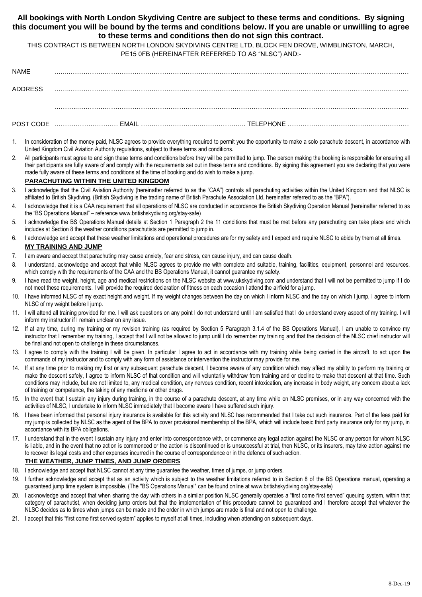## **All bookings with North London Skydiving Centre are subject to these terms and conditions. By signing this document you will be bound by the terms and conditions below. If you are unable or unwilling to agree to these terms and conditions then do not sign this contract.**

THIS CONTRACT IS BETWEEN NORTH LONDON SKYDIVING CENTRE LTD, BLOCK FEN DROVE, WIMBLINGTON, MARCH, PE15 0FB (HEREINAFTER REFERRED TO AS "NLSC") AND:-

| <b>NAME</b> |
|-------------|
|-------------|

| ADDRESS |  |  |  |
|---------|--|--|--|
|         |  |  |  |
|         |  |  |  |

1. In consideration of the money paid, NLSC agrees to provide everything required to permit you the opportunity to make a solo parachute descent, in accordance with United Kingdom Civil Aviation Authority regulations, subject to these terms and conditions.

POST CODE ………………………… EMAIL ……………………...………………….. TELEPHONE …………………………………………………

2. All participants must agree to and sign these terms and conditions before they will be permitted to jump. The person making the booking is responsible for ensuring all their participants are fully aware of and comply with the requirements set out in these terms and conditions. By signing this agreement you are declaring that you were made fully aware of these terms and conditions at the time of booking and do wish to make a jump.

### **PARACHUTING WITHIN THE UNITED KINGDOM**

- 3. I acknowledge that the Civil Aviation Authority (hereinafter referred to as the "CAA") controls all parachuting activities within the United Kingdom and that NLSC is affiliated to British Skydiving. (British Skydiving is the trading name of British Parachute Association Ltd, hereinafter referred to as the "BPA").
- 4. I acknowledge that it is a CAA requirement that all operations of NLSC are conducted in accordance the British Skydiving Operation Manual (hereinafter referred to as the "BS Operations Manual" – reference www.britishskydiving.org/stay-safe)
- 5. I acknowledge the BS Operations Manual details at Section 1 Paragraph 2 the 11 conditions that must be met before any parachuting can take place and which includes at Section 8 the weather conditions parachutists are permitted to jump in.
- 6. I acknowledge and accept that these weather limitations and operational procedures are for my safety and I expect and require NLSC to abide by them at all times. **MY TRAINING AND JUMP**

# 7. I am aware and accept that parachuting may cause anxiety, fear and stress, can cause injury, and can cause death.

- 8. I understand, acknowledge and accept that while NLSC agrees to provide me with complete and suitable, training, facilities, equipment, personnel and resources, which comply with the requirements of the CAA and the BS Operations Manual, it cannot guarantee my safety.
- 9. I have read the weight, height, age and medical restrictions on the NLSC website at www.ukskydiving.com and understand that I will not be permitted to jump if I do not meet these requirements. I will provide the required declaration of fitness on each occasion I attend the airfield for a jump.
- 10. I have informed NLSC of my exact height and weight. If my weight changes between the day on which I inform NLSC and the day on which I jump, I agree to inform NLSC of my weight before I jump.
- 11. I will attend all training provided for me. I will ask questions on any point I do not understand until I am satisfied that I do understand every aspect of my training. I will inform my instructor if I remain unclear on any issue.
- 12. If at any time, during my training or my revision training (as required by Section 5 Paragraph 3.1.4 of the BS Operations Manual), I am unable to convince my instructor that I remember my training, I accept that I will not be allowed to jump until I do remember my training and that the decision of the NLSC chief instructor will be final and not open to challenge in these circumstances.
- 13. I agree to comply with the training I will be given. In particular I agree to act in accordance with my training while being carried in the aircraft, to act upon the commands of my instructor and to comply with any form of assistance or intervention the instructor may provide for me.
- 14. If at any time prior to making my first or any subsequent parachute descent, I become aware of any condition which may affect my ability to perform my training or make the descent safely, I agree to inform NLSC of that condition and will voluntarily withdraw from training and or decline to make that descent at that time. Such conditions may include, but are not limited to, any medical condition, any nervous condition, recent intoxication, any increase in body weight, any concern about a lack of training or competence, the taking of any medicine or other drugs.
- 15. In the event that I sustain any injury during training, in the course of a parachute descent, at any time while on NLSC premises, or in any way concerned with the activities of NLSC, I undertake to inform NLSC immediately that I become aware I have suffered such injury.
- 16. I have been informed that personal injury insurance is available for this activity and NLSC has recommended that I take out such insurance. Part of the fees paid for my jump is collected by NLSC as the agent of the BPA to cover provisional membership of the BPA, which will include basic third party insurance only for my jump, in accordance with its BPA obligations.
- 17. I understand that in the event I sustain any injury and enter into correspondence with, or commence any legal action against the NLSC or any person for whom NLSC is liable, and in the event that no action is commenced or the action is discontinued or is unsuccessful at trial, then NLSC, or its insurers, may take action against me to recover its legal costs and other expenses incurred in the course of correspondence or in the defence of such action.

# **THE WEATHER, JUMP TIMES, AND JUMP ORDERS**

- 18. I acknowledge and accept that NLSC cannot at any time guarantee the weather, times of jumps, or jump orders.
- 19. I further acknowledge and accept that as an activity which is subject to the weather limitations referred to in Section 8 of the BS Operations manual, operating a guaranteed jump time system is impossible. (The "BS Operations Manual" can be found online at www.britishskydiving.org/stay-safe)
- 20. I acknowledge and accept that when sharing the day with others in a similar position NLSC generally operates a "first come first served" queuing system, within that category of parachutist, when deciding jump orders but that the implementation of this procedure cannot be guaranteed and I therefore accept that whatever the NLSC decides as to times when jumps can be made and the order in which jumps are made is final and not open to challenge.
- 21. I accept that this "first come first served system" applies to myself at all times, including when attending on subsequent days.